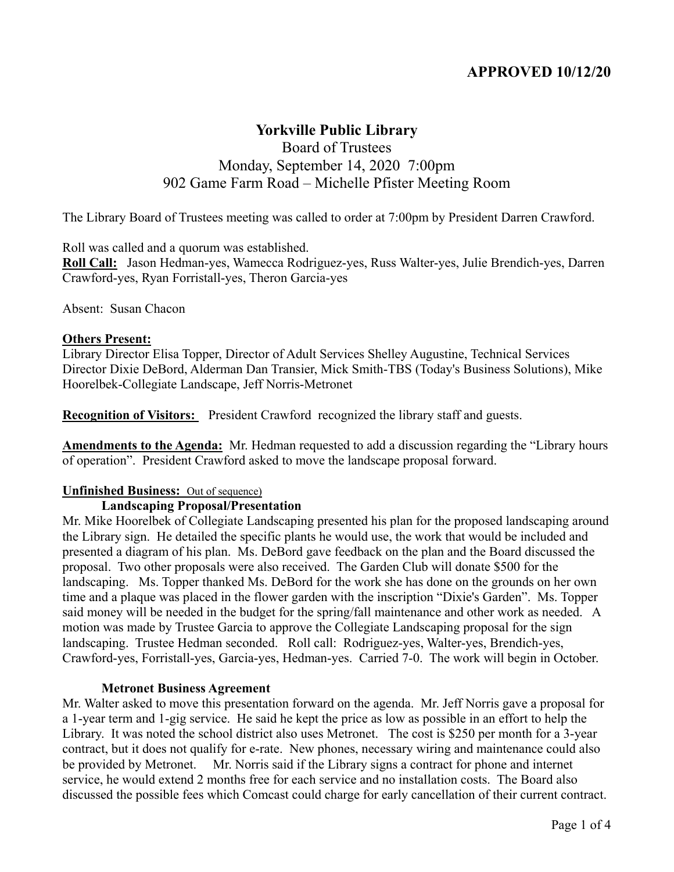# **APPROVED 10/12/20**

# **Yorkville Public Library**

# Board of Trustees Monday, September 14, 2020 7:00pm 902 Game Farm Road – Michelle Pfister Meeting Room

The Library Board of Trustees meeting was called to order at 7:00pm by President Darren Crawford.

Roll was called and a quorum was established.

**Roll Call:** Jason Hedman-yes, Wamecca Rodriguez-yes, Russ Walter-yes, Julie Brendich-yes, Darren Crawford-yes, Ryan Forristall-yes, Theron Garcia-yes

Absent: Susan Chacon

#### **Others Present:**

Library Director Elisa Topper, Director of Adult Services Shelley Augustine, Technical Services Director Dixie DeBord, Alderman Dan Transier, Mick Smith-TBS (Today's Business Solutions), Mike Hoorelbek-Collegiate Landscape, Jeff Norris-Metronet

**Recognition of Visitors:** President Crawford recognized the library staff and guests.

**Amendments to the Agenda:** Mr. Hedman requested to add a discussion regarding the "Library hours of operation". President Crawford asked to move the landscape proposal forward.

### **Unfinished Business:** Out of sequence)

#### **Landscaping Proposal/Presentation**

Mr. Mike Hoorelbek of Collegiate Landscaping presented his plan for the proposed landscaping around the Library sign. He detailed the specific plants he would use, the work that would be included and presented a diagram of his plan. Ms. DeBord gave feedback on the plan and the Board discussed the proposal. Two other proposals were also received. The Garden Club will donate \$500 for the landscaping. Ms. Topper thanked Ms. DeBord for the work she has done on the grounds on her own time and a plaque was placed in the flower garden with the inscription "Dixie's Garden". Ms. Topper said money will be needed in the budget for the spring/fall maintenance and other work as needed. A motion was made by Trustee Garcia to approve the Collegiate Landscaping proposal for the sign landscaping. Trustee Hedman seconded. Roll call: Rodriguez-yes, Walter-yes, Brendich-yes, Crawford-yes, Forristall-yes, Garcia-yes, Hedman-yes. Carried 7-0. The work will begin in October.

#### **Metronet Business Agreement**

Mr. Walter asked to move this presentation forward on the agenda. Mr. Jeff Norris gave a proposal for a 1-year term and 1-gig service. He said he kept the price as low as possible in an effort to help the Library. It was noted the school district also uses Metronet. The cost is \$250 per month for a 3-year contract, but it does not qualify for e-rate. New phones, necessary wiring and maintenance could also be provided by Metronet. Mr. Norris said if the Library signs a contract for phone and internet service, he would extend 2 months free for each service and no installation costs. The Board also discussed the possible fees which Comcast could charge for early cancellation of their current contract.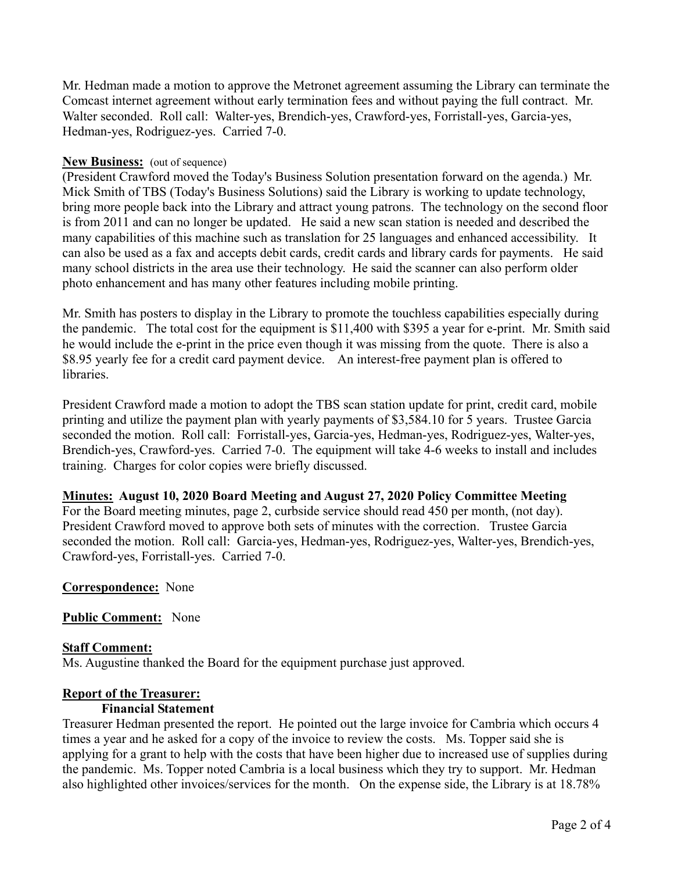Mr. Hedman made a motion to approve the Metronet agreement assuming the Library can terminate the Comcast internet agreement without early termination fees and without paying the full contract. Mr. Walter seconded. Roll call: Walter-yes, Brendich-yes, Crawford-yes, Forristall-yes, Garcia-yes, Hedman-yes, Rodriguez-yes. Carried 7-0.

### **New Business:** (out of sequence)

(President Crawford moved the Today's Business Solution presentation forward on the agenda.) Mr. Mick Smith of TBS (Today's Business Solutions) said the Library is working to update technology, bring more people back into the Library and attract young patrons. The technology on the second floor is from 2011 and can no longer be updated. He said a new scan station is needed and described the many capabilities of this machine such as translation for 25 languages and enhanced accessibility. It can also be used as a fax and accepts debit cards, credit cards and library cards for payments. He said many school districts in the area use their technology. He said the scanner can also perform older photo enhancement and has many other features including mobile printing.

Mr. Smith has posters to display in the Library to promote the touchless capabilities especially during the pandemic. The total cost for the equipment is \$11,400 with \$395 a year for e-print. Mr. Smith said he would include the e-print in the price even though it was missing from the quote. There is also a \$8.95 yearly fee for a credit card payment device. An interest-free payment plan is offered to libraries.

President Crawford made a motion to adopt the TBS scan station update for print, credit card, mobile printing and utilize the payment plan with yearly payments of \$3,584.10 for 5 years. Trustee Garcia seconded the motion. Roll call: Forristall-yes, Garcia-yes, Hedman-yes, Rodriguez-yes, Walter-yes, Brendich-yes, Crawford-yes. Carried 7-0. The equipment will take 4-6 weeks to install and includes training. Charges for color copies were briefly discussed.

## **Minutes: August 10, 2020 Board Meeting and August 27, 2020 Policy Committee Meeting**

For the Board meeting minutes, page 2, curbside service should read 450 per month, (not day). President Crawford moved to approve both sets of minutes with the correction. Trustee Garcia seconded the motion. Roll call: Garcia-yes, Hedman-yes, Rodriguez-yes, Walter-yes, Brendich-yes, Crawford-yes, Forristall-yes. Carried 7-0.

## **Correspondence:** None

## **Public Comment:** None

### **Staff Comment:**

Ms. Augustine thanked the Board for the equipment purchase just approved.

### **Report of the Treasurer:**

### **Financial Statement**

Treasurer Hedman presented the report. He pointed out the large invoice for Cambria which occurs 4 times a year and he asked for a copy of the invoice to review the costs. Ms. Topper said she is applying for a grant to help with the costs that have been higher due to increased use of supplies during the pandemic. Ms. Topper noted Cambria is a local business which they try to support. Mr. Hedman also highlighted other invoices/services for the month. On the expense side, the Library is at 18.78%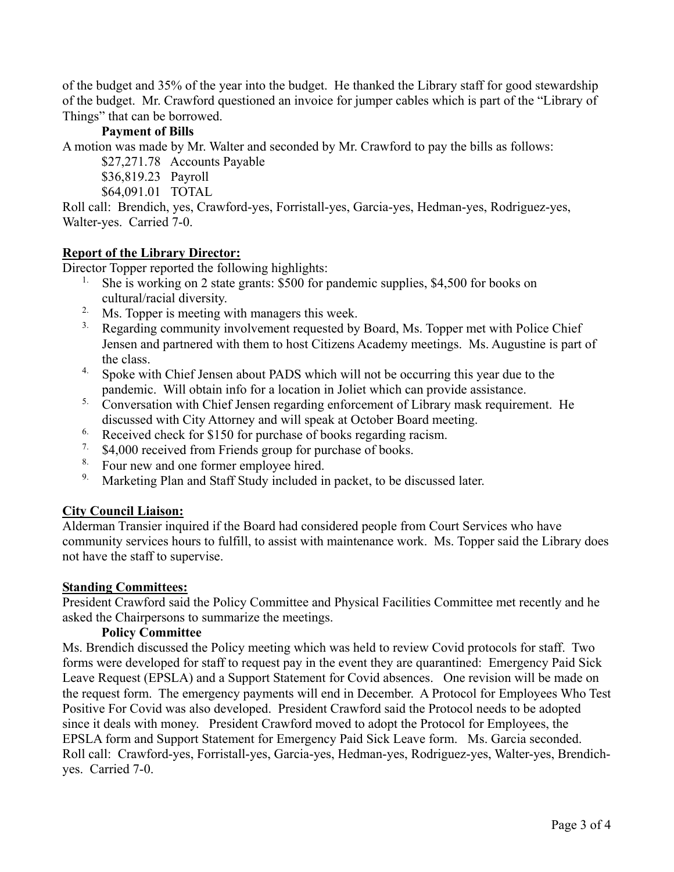of the budget and 35% of the year into the budget. He thanked the Library staff for good stewardship of the budget. Mr. Crawford questioned an invoice for jumper cables which is part of the "Library of Things" that can be borrowed.

## **Payment of Bills**

A motion was made by Mr. Walter and seconded by Mr. Crawford to pay the bills as follows:

- \$27,271.78 Accounts Payable
- \$36,819.23 Payroll
- \$64,091.01 TOTAL

Roll call: Brendich, yes, Crawford-yes, Forristall-yes, Garcia-yes, Hedman-yes, Rodriguez-yes, Walter-yes. Carried 7-0.

## **Report of the Library Director:**

Director Topper reported the following highlights:

- <sup>1.</sup> She is working on 2 state grants: \$500 for pandemic supplies, \$4,500 for books on cultural/racial diversity.
- 2. Ms. Topper is meeting with managers this week.
- <sup>3.</sup> Regarding community involvement requested by Board, Ms. Topper met with Police Chief Jensen and partnered with them to host Citizens Academy meetings. Ms. Augustine is part of the class.
- <sup>4.</sup> Spoke with Chief Jensen about PADS which will not be occurring this year due to the pandemic. Will obtain info for a location in Joliet which can provide assistance.
- <sup>5.</sup> Conversation with Chief Jensen regarding enforcement of Library mask requirement. He discussed with City Attorney and will speak at October Board meeting.
- <sup>6.</sup> Received check for \$150 for purchase of books regarding racism.
- 7. \$4,000 received from Friends group for purchase of books.
- <sup>8.</sup> Four new and one former employee hired.
- <sup>9.</sup> Marketing Plan and Staff Study included in packet, to be discussed later.

## **City Council Liaison:**

Alderman Transier inquired if the Board had considered people from Court Services who have community services hours to fulfill, to assist with maintenance work. Ms. Topper said the Library does not have the staff to supervise.

### **Standing Committees:**

President Crawford said the Policy Committee and Physical Facilities Committee met recently and he asked the Chairpersons to summarize the meetings.

### **Policy Committee**

Ms. Brendich discussed the Policy meeting which was held to review Covid protocols for staff. Two forms were developed for staff to request pay in the event they are quarantined: Emergency Paid Sick Leave Request (EPSLA) and a Support Statement for Covid absences. One revision will be made on the request form. The emergency payments will end in December. A Protocol for Employees Who Test Positive For Covid was also developed. President Crawford said the Protocol needs to be adopted since it deals with money. President Crawford moved to adopt the Protocol for Employees, the EPSLA form and Support Statement for Emergency Paid Sick Leave form. Ms. Garcia seconded. Roll call: Crawford-yes, Forristall-yes, Garcia-yes, Hedman-yes, Rodriguez-yes, Walter-yes, Brendichyes. Carried 7-0.